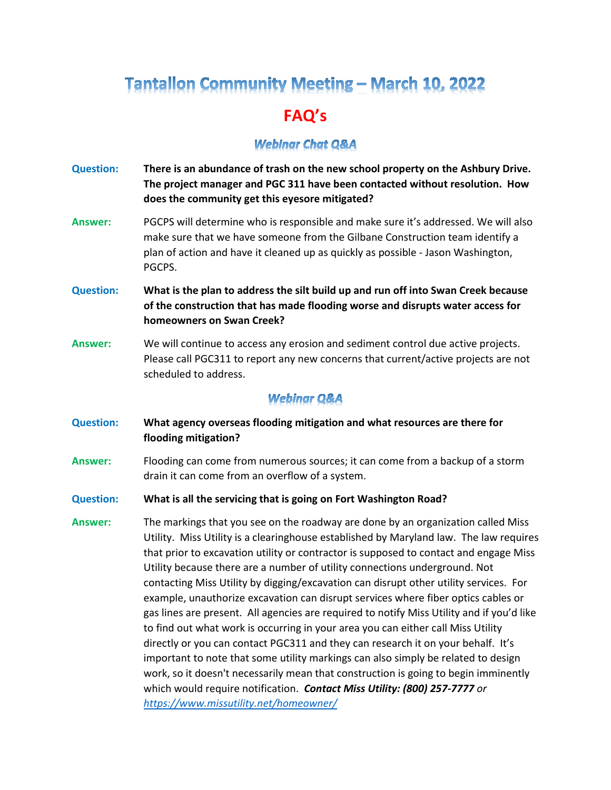## **Tantallon Community Meeting - March 10, 2022**

## **FAQ's**

## **Webinar Chat O&A**

- **Question: There is an abundance of trash on the new school property on the Ashbury Drive. The project manager and PGC 311 have been contacted without resolution. How does the community get this eyesore mitigated?**
- **Answer:** PGCPS will determine who is responsible and make sure it's addressed. We will also make sure that we have someone from the Gilbane Construction team identify a plan of action and have it cleaned up as quickly as possible - Jason Washington, PGCPS.
- **Question: What is the plan to address the silt build up and run off into Swan Creek because of the construction that has made flooding worse and disrupts water access for homeowners on Swan Creek?**
- **Answer:** We will continue to access any erosion and sediment control due active projects. Please call PGC311 to report any new concerns that current/active projects are not scheduled to address.

## **Webinar Q&A**

- **Question: What agency overseas flooding mitigation and what resources are there for flooding mitigation?**
- **Answer:** Flooding can come from numerous sources; it can come from a backup of a storm drain it can come from an overflow of a system.
- **Question: What is all the servicing that is going on Fort Washington Road?**
- **Answer:** The markings that you see on the roadway are done by an organization called Miss Utility. Miss Utility is a clearinghouse established by Maryland law. The law requires that prior to excavation utility or contractor is supposed to contact and engage Miss Utility because there are a number of utility connections underground. Not contacting Miss Utility by digging/excavation can disrupt other utility services. For example, unauthorize excavation can disrupt services where fiber optics cables or gas lines are present. All agencies are required to notify Miss Utility and if you'd like to find out what work is occurring in your area you can either call Miss Utility directly or you can contact PGC311 and they can research it on your behalf. It's important to note that some utility markings can also simply be related to design work, so it doesn't necessarily mean that construction is going to begin imminently which would require notification. *Contact Miss Utility: (800) 257-7777 or <https://www.missutility.net/homeowner/>*